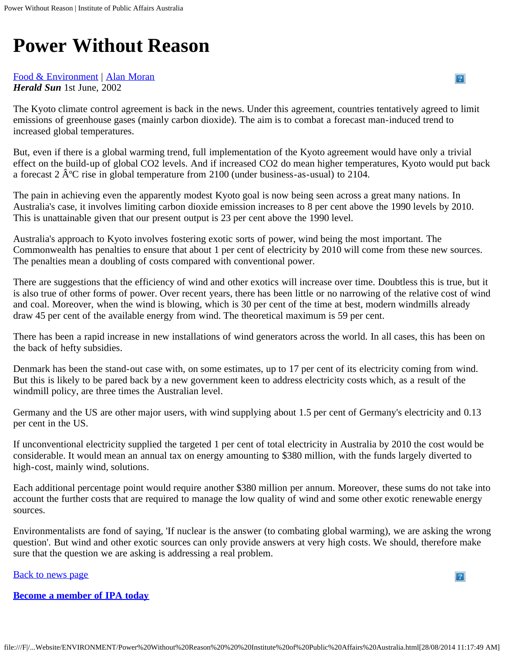# **Power Without Reason**

# [Food & Environment](https://ipa.org.au/sectors/food-environment/controller/sectors) | [Alan Moran](https://ipa.org.au/people/alan-moran)

*Herald Sun* 1st June, 2002

The Kyoto climate control agreement is back in the news. Under this agreement, countries tentatively agreed to limit emissions of greenhouse gases (mainly carbon dioxide). The aim is to combat a forecast man-induced trend to increased global temperatures.

But, even if there is a global warming trend, full implementation of the Kyoto agreement would have only a trivial effect on the build-up of global CO2 levels. And if increased CO2 do mean higher temperatures, Kyoto would put back a forecast 2  $\hat{A}^{\circ}C$  rise in global temperature from 2100 (under business-as-usual) to 2104.

The pain in achieving even the apparently modest Kyoto goal is now being seen across a great many nations. In Australia's case, it involves limiting carbon dioxide emission increases to 8 per cent above the 1990 levels by 2010. This is unattainable given that our present output is 23 per cent above the 1990 level.

Australia's approach to Kyoto involves fostering exotic sorts of power, wind being the most important. The Commonwealth has penalties to ensure that about 1 per cent of electricity by 2010 will come from these new sources. The penalties mean a doubling of costs compared with conventional power.

There are suggestions that the efficiency of wind and other exotics will increase over time. Doubtless this is true, but it is also true of other forms of power. Over recent years, there has been little or no narrowing of the relative cost of wind and coal. Moreover, when the wind is blowing, which is 30 per cent of the time at best, modern windmills already draw 45 per cent of the available energy from wind. The theoretical maximum is 59 per cent.

There has been a rapid increase in new installations of wind generators across the world. In all cases, this has been on the back of hefty subsidies.

Denmark has been the stand-out case with, on some estimates, up to 17 per cent of its electricity coming from wind. But this is likely to be pared back by a new government keen to address electricity costs which, as a result of the windmill policy, are three times the Australian level.

Germany and the US are other major users, with wind supplying about 1.5 per cent of Germany's electricity and 0.13 per cent in the US.

If unconventional electricity supplied the targeted 1 per cent of total electricity in Australia by 2010 the cost would be considerable. It would mean an annual tax on energy amounting to \$380 million, with the funds largely diverted to high-cost, mainly wind, solutions.

Each additional percentage point would require another \$380 million per annum. Moreover, these sums do not take into account the further costs that are required to manage the low quality of wind and some other exotic renewable energy sources.

Environmentalists are fond of saying, 'If nuclear is the answer (to combating global warming), we are asking the wrong question'. But wind and other exotic sources can only provide answers at very high costs. We should, therefore make sure that the question we are asking is addressing a real problem.

**[Back to news page](https://ipa.org.au/news/index/pg/46)** 

 $\overline{P}$ 

 $|2|$ 

**[Become a member of IPA today](https://ipa.org.au/payment/member)**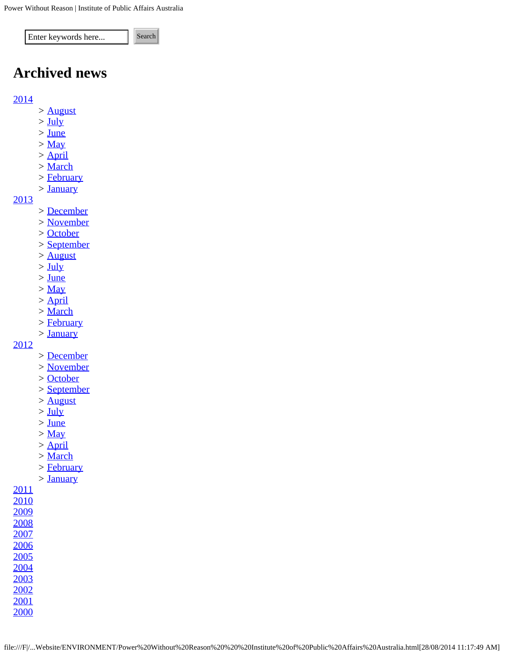Enter keywords here... Search

# **Archived news**

# [2014](https://ipa.org.au/news/index/year/2014)

- *>* [August](https://ipa.org.au/news/index/year/2014/month/8)
- *>* [July](https://ipa.org.au/news/index/year/2014/month/7)
- *>* [June](https://ipa.org.au/news/index/year/2014/month/6)
- *>* [May](https://ipa.org.au/news/index/year/2014/month/5)
- *>* [April](https://ipa.org.au/news/index/year/2014/month/4)
- *>* [March](https://ipa.org.au/news/index/year/2014/month/3)
- *>* [February](https://ipa.org.au/news/index/year/2014/month/2)
- *>* [January](https://ipa.org.au/news/index/year/2014/month/1)

#### [2013](https://ipa.org.au/news/index/year/2013)

- *>* [December](https://ipa.org.au/news/index/year/2013/month/12)
- *>* [November](https://ipa.org.au/news/index/year/2013/month/11)
- *>* [October](https://ipa.org.au/news/index/year/2013/month/10)
- *>* [September](https://ipa.org.au/news/index/year/2013/month/9)
- *>* [August](https://ipa.org.au/news/index/year/2013/month/8)
- *>* [July](https://ipa.org.au/news/index/year/2013/month/7)
- *>* [June](https://ipa.org.au/news/index/year/2013/month/6)
- *>* [May](https://ipa.org.au/news/index/year/2013/month/5)
- *>* [April](https://ipa.org.au/news/index/year/2013/month/4)
- *>* [March](https://ipa.org.au/news/index/year/2013/month/3)
- *>* [February](https://ipa.org.au/news/index/year/2013/month/2)
- *>* [January](https://ipa.org.au/news/index/year/2013/month/1)

### [2012](https://ipa.org.au/news/index/year/2012)

- *>* [December](https://ipa.org.au/news/index/year/2012/month/12)
- *>* [November](https://ipa.org.au/news/index/year/2012/month/11)
- *>* [October](https://ipa.org.au/news/index/year/2012/month/10)
- *>* [September](https://ipa.org.au/news/index/year/2012/month/9)
- *>* [August](https://ipa.org.au/news/index/year/2012/month/8)
- *>* [July](https://ipa.org.au/news/index/year/2012/month/7)
- *>* [June](https://ipa.org.au/news/index/year/2012/month/6)
- *>* [May](https://ipa.org.au/news/index/year/2012/month/5)
- *>* [April](https://ipa.org.au/news/index/year/2012/month/4)
- *>* [March](https://ipa.org.au/news/index/year/2012/month/3)
- *>* [February](https://ipa.org.au/news/index/year/2012/month/2)
- *>* [January](https://ipa.org.au/news/index/year/2012/month/1)

# [2011](https://ipa.org.au/news/index/year/2011) [2010](https://ipa.org.au/news/index/year/2010)

- [2009](https://ipa.org.au/news/index/year/2009) [2008](https://ipa.org.au/news/index/year/2008)
- [2007](https://ipa.org.au/news/index/year/2007)
- [2006](https://ipa.org.au/news/index/year/2006)
- [2005](https://ipa.org.au/news/index/year/2005)
- [2004](https://ipa.org.au/news/index/year/2004)
- [2003](https://ipa.org.au/news/index/year/2003)
- [2002](https://ipa.org.au/news/index/year/2002) [2001](https://ipa.org.au/news/index/year/2001)

[2000](https://ipa.org.au/news/index/year/2000)